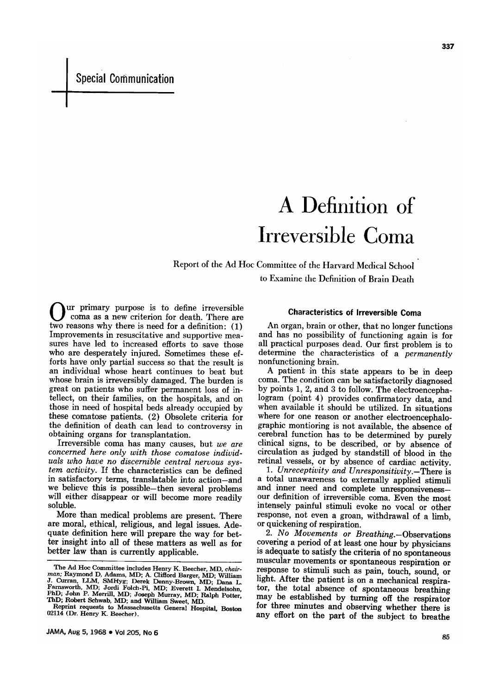# A Definition of Irreversible Coma

Report of the Ad Hoc Committee of the Harvard Medical School to Examine the Definition of Brain Death

ur primary purpose is to define irreversible coma as a new criterion for death. There are two reasons why there is need for a definition: (1) Improvements in resuscitative and supportive measures have led to increased efforts to save those who are desperately injured. Sometimes these efforts have only partial success so that the result is an individual whose heart continues to beat but whose brain is irreversibly damaged. The burden is great on patients who suffer permanent loss of intellect, on their families, on the hospitals, and on those in need of hospital beds already occupied by these comatose patients. (2) Obsolete criteria for the definition of death can lead to controversy in obtaining organs for transplantation.

Irreversible coma has many causes, but we are concerned here only with those comatose individuals who have no discernible central nervous system activity. If the characteristics can be defined in satisfactory terms, translatable into action-and we believe this is possible-then several problems will either disappear or will become more readily soluble.

More than medical problems are present. There are moral, ethical, religious, and legal issues. Adequate definition here will prepare the way for better insight into all of these matters as well as for better law than is currently applicable.

# Characteristics of Irreversible Coma

An organ, brain or other, that no longer functions and has no possibility of functioning again is for all practical purposes dead. Our first problem is to determine the characteristics of <sup>a</sup> permanently nonfunctioning brain.

A patient in this state appears to be in deep coma. The condition can be satisfactorily diagnosed by points 1, 2, and 3 to follow. The electroencepha-<br>logram (point 4) provides confirmatory data, and when available it should be utilized. In situations where for one reason or another electroencephalographic montioring is not available, the absence of cerebral function has to be determined by purely clinical signs, to be described, or by absence of circulation as judged by standstill of blood in the retinal vessels, or by absence of cardiac activity.<br>1. Unreceptivity and Unresponsitivity.—There is

<sup>a</sup> total unawareness to externally applied stimuli and inner need and complete unresponsiveness— our definition of irreversible coma. Even the most intensely painful stimuli evoke no vocal or other response, not even <sup>a</sup> groan, withdrawal of <sup>a</sup> limb, or quickening of respiration.

2. No Movements or Breathing. - Observations covering a period of at least one hour by physicians is adequate to satisfy the criteria of no spontaneous<br>muscular movements or spontaneous respiration or<br>response to stimuli such as pain, touch, sound, or light. After the patient is on a mechanical respirator, the total absence of spontaneous breathing may be established by turning off the respirator for three minutes and observing whether there is any effort on the part of the subject to breathe

The Ad Hoc Committee includes Henry K. Beecher, MD, chair-The Extractor MD; Adams, MD; A Clifford Barger, MD; Unitary<br>an: Raymond D. Adams, MD; A Clifford Barger, MD; Unitary<br>J. Curran, LLM, SMHyg; Derek Denny-Brown, MD; Dana L.<br>Farnsworth, MD; Jordi Folch-Pi, MD; Everett I. Mend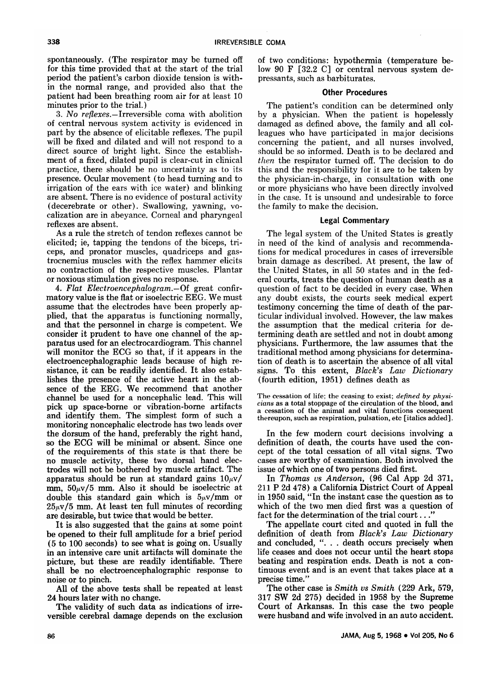spontaneously. (The respirator may be turned off for this time provided that at the start of the trial period the patient's carbon dioxide tension is within the normal range, and provided also that the patient had been breathing room air for at least <sup>10</sup> minutes prior to the trial.)

3. No reflexes.—Irreversible coma with abolition of central nervous system activity is evidenced in part by the absence of elicitable reflexes. The pupil will be fixed and dilated and will not respond to <sup>a</sup> direct source of bright light. Since the establishment of <sup>a</sup> fixed, dilated pupil is clear-cut in clinical practice, there should be no uncertainty as to its presence. Ocular movement (to head turning and to irrigation of the ears with ice water) and blinking are absent. There is no evidence of postural activity (decerebrate or other). Swallowing, yawning, yocalization are in abeyance. Corneal and pharyngeal reflexes are absent.

As a rule the stretch of tendon reflexes cannot be elicited; ie, tapping the tendons of the biceps, triceps, and pronator muscles, quadriceps and gastrocnemius muscles with the reflex hammer elicits no contraction of the respective muscles. Plantar or noxious stimulation gives no response.

4. Flat Electroencephalogram. $-$ Of great confirmatory value is the flat or isoelectric EEG. We must assume that the electrodes have been properly applied, that the apparatus is functioning normally, and that the personnel in charge is competent. We consider it prudent to have one channel of the apparatus used for an electrocardiogram. This channel will monitor the ECG so that, if it appears in the electroencephalographic leads because of high resistance, it can be readily identified. It also establishes the presence of the active heart in the absence of the EEG. We recommend that another channel be used for <sup>a</sup> noncephalic lead. This will pick up space-borne or vibration-borne artifacts and identify them. The simplest form of such <sup>a</sup> monitoring noncephalic electrode has two leads over the dorsum of the hand, preferably the right hand, so the ECG will be minimal or absent. Since one of the requirements of this state is that there be no muscle activity, these two dorsal hand electrodes will not be bothered by muscle artifact. The apparatus should be run at standard gains  $10\mu\text{V}$ mm,  $50\mu\text{V}/5$  mm. Also it should be isoelectric at double this standard gain which is  $5\mu$ v/mm or  $25\mu\text{v}/5$  mm. At least ten full minutes of recording are desirable, but twice that would be better.

It is also suggested that the gains at some point be opened to their full amplitude for <sup>a</sup> brief period (5 to <sup>100</sup> seconds) to see what is going on. Usually in an intensive care unit artifacts will dominate the picture, but these are readily identifiable. There shall be no electroencephalographic response to noise or to pinch.

All of the above tests shall be repeated at least 24 hours later with no change.

The validity of such data as indications of irreversible cerebral damage depends on the exclusion of two conditions: hypothermia (temperature be low 90 F  $[32.2 \text{ C}]$  or central nervous system depressants, such as barbiturates.

## Other Procedures

The patient's condition can be determined only by <sup>a</sup> physician. When the patient is hopelessly damaged as defined above, the family and all colleagues who have participated in major decisions concerning the patient, and all nurses involved, should be so informed. Death is to be declared and then the respirator turned off. The decision to do this and the responsibility for it are to be taken by the physician-in-charge, in consultation with one or more physicians who have been directly involved in the case. It is unsound and undesirable to force the family to make the decision.

# Legal Commentary

The legal system of the United States is greatly in need of the kind of analysis and recommendations for medical procedures in cases of irreversible brain damage as described. At present, the law of the United States, in all 50 states and in the federal courts, treats the question of human death as <sup>a</sup> question of fact to be decided in every case. When any doubt exists, the courts seek medical expert testimony concerning the time of death of the particular individual involved. However, the law makes the assumption that the medical criteria for determining death are settled and not in doubt among physicians. Furthermore, the law assumes that the traditional method among physicians for determina tion of death is to ascertain the absence of all vital signs. To this extent, Black's Law Dictionary (fourth edition, 1951) defines death as

The cessation of life; the ceasing to exist; defined by  $physi$ cians as a total stoppage of the circulation of the blood, and a cessation of the animal and vital functions consequent thereupon, such as respiration, pulsation, etc [italics added].

In the few modern court decisions involving <sup>a</sup> definition of death, the courts have used the concept of the total cessation of all vital signs. Two cases are worthy of examination. Both involved the issue of which one of two persons died first.

In Thomas vs Anderson, (96 Cal App 2d 371, <sup>211</sup> P 2d 478) <sup>a</sup> California District Court of Appeal in <sup>1950</sup> said, "In the instant case the question as to which of the two men died first was <sup>a</sup> question of fact for the determination of the trial court...'

The appellate court cited and quoted in full the definition of death from Black's Law Dictionary and concluded, ". . . death occurs precisely when life ceases and does not occur until the heart stops beating and respiration ends. Death is not a continuous event and is an event that takes place at <sup>a</sup> precise time."

The other case is Smith vs Smith (229 Ark, 579, 317 SW 2d 275) decided in 1958 by the Supreme Court of Arkansas. In this case the two people were husband and wife involved in an auto accident.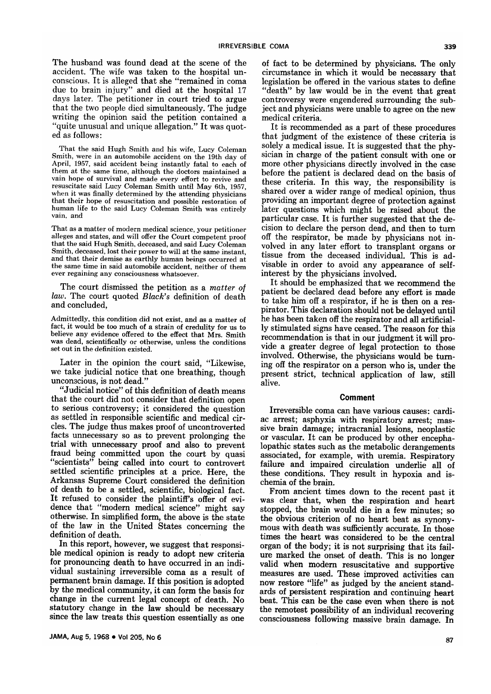The husband was found dead at the scene of the accident. The wife was taken to the hospital unconscious. It is alleged that she "remained in coma due to brain injury" and died at the hospital <sup>17</sup> days later. The petitioner in court tried to argue that the two people died simultaneously. The judge writing the opinion said the petition contained a "quite unusual and unique allegation." It was quoted as follows:

That the said Hugh Smith and his wife, Lucy Coleman Smith, were in an automobile accident on the 19th day of April, 1957, said accident being instantly fatal to each of them at the same time, although the doctors maintained a vain hope of survival and made every effort to revive and resuscitate said Lucy Coleman Smith until May 6th, 1957, when it was finally determined by the attending physicians that their hope of resuscitation and possible restoration of human life to the said Lucy Coleman Smith was entirely vain, and

That as <sup>a</sup> matter of modern medical science, your petitioner alleges and states, and will offer the Court competent proof that the said Hugh Smith, deceased, and said Lucy Coleman Smith, deceased, lost their power to will at the same instant, and that their demise as earthly human beings occurred at the same time in said automobile accident, neither of them ever regaining any consciousness whatsoever.

The court dismissed the petition as a *matter of* law. The court quoted Black's definition of death and concluded,

Admittedly, this condition did not exist, and as a matter of fact, it would be too much of <sup>a</sup> strain of credulity for us to believe any evidence offered to the effect that Mrs. Smith was dead, scientifically or otherwise, unless the conditions set out in the definition existed.

Later in the opinion the court said, "Likewise, we take judicial notice that one breathing, though unconscious, is not dead."

"Judicial notice" of this definition of death means that the court did not consider that definition open to serious controversy; it considered the question as settled in responsible scientific and medical circles. The judge thus makes proof of uncontroverted facts unnecessary so as to prevent prolonging the trial with unnecessary proof and also to prevent fraud being committed upon the court by quasi "scientists" being called into court to controvert settled scientific principles at <sup>a</sup> price. Here, the Arkansas Supreme Court considered the definition of death to be <sup>a</sup> settled, scientific, biological fact. It refused to consider the plaintiff's offer of evidence that "modern medical science" might say otherwise. In simplified form, the above is the state of the law in the United States concerning the

definition of death.<br>In this report, however, we suggest that responsible medical opinion is ready to adopt new criteria for pronouncing death to have occurred in an individual sustaining irreversible coma as a result of permanent brain damage. If this position is adopted by the medical community, it can form the basis for change in the current legal concept of death. No statutory change in the law should be necessary since the law treats this question essentially as one of fact to be determined by physicians. The only circumstance in which it would be necessary that legislation be offered in the various states to define "death" by law would be in the event that great controversy were engendered surrounding the subject and physicians were unable to agree on the new medical criteria.

It is recommended as <sup>a</sup> part of these procedures that judgment of the existence of these criteria is solely a medical issue. It is suggested that the physician in charge of the patient consult with one or more other physicians directly involved in the case before the patient is declared dead on the basis of these criteria. In this way, the responsibility is shared over <sup>a</sup> wider range of medical opinion, thus providing an important degree of protection against later questions which might be raised about the particular case. It is further suggested that the decision to declare the person dead, and then to turn off the respirator, be made by physicians not involved in any later effort to transplant organs or tissue from the deceased individual. This is advisable in order to avoid any appearance of selfinterest by the physicians involved.

It should be emphasized that we recommend the patient be declared dead before any effort is made to take him off a respirator, if he is then on a respirator. This declaration should not be delayed until he has been taken off the respirator and all artificially stimulated signs have ceased. The reason for this recommendation is that in our judgment it will provide <sup>a</sup> greater degree of legal protection to those involved. Otherwise, the physicians would be turning off the respirator on <sup>a</sup> person who is, under the present strict, technical application of law, still alive.

### Comment

Irreversible coma can have various causes: cardiac arrest; asphyxia with respiratory arrest; massive brain damage; intracranial lesions, neoplastic lopathic states such as the metabolic derangements associated, for example, with uremia. Respiratory failure and impaired circulation underlie all of these conditions. They result in hypoxia and ischemia of the brain.

From ancient times down to the recent past it was clear that, when the respiration and heart stopped, the brain would die in <sup>a</sup> few minutes; so the obvious criterion of no heart beat as synonymous with death was sufficiently accurate. In those times the heart was considered to be the central organ of the body; it is not surprising that its fail-<br>ure marked the onset of death. This is no longer valid when modern resuscitative and supportive measures are used. These improved activities can now restore "life" as judged by the ancient standards of persistent respiration and continuing heart beat. This can be the case even when there is not the remotest possibility of an individual recovering consciousness following massive brain damage. In